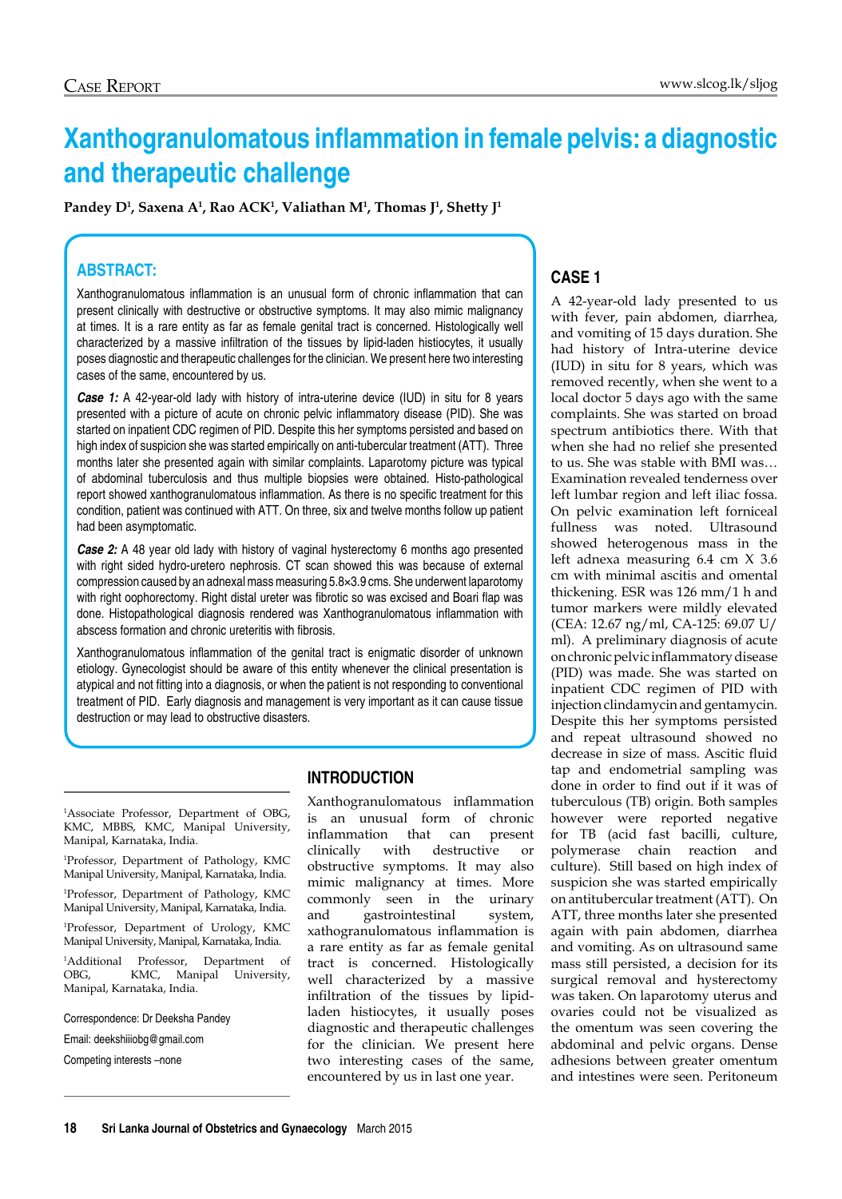# **Xanthogranulomatous inflammation in female pelvis: a diagnostic and therapeutic challenge**

**Pandey D1 , Saxena A1 , Rao ACK1 , Valiathan M1 , Thomas J1 , Shetty J1**

## **Abstract:**

Xanthogranulomatous inflammation is an unusual form of chronic inflammation that can present clinically with destructive or obstructive symptoms. It may also mimic malignancy at times. It is a rare entity as far as female genital tract is concerned. Histologically well characterized by a massive infiltration of the tissues by lipid-laden histiocytes, it usually poses diagnostic and therapeutic challenges for the clinician. We present here two interesting cases of the same, encountered by us.

*Case 1:* A 42-year-old lady with history of intra-uterine device (IUD) in situ for 8 years presented with a picture of acute on chronic pelvic inflammatory disease (PID). She was started on inpatient CDC regimen of PID. Despite this her symptoms persisted and based on high index of suspicion she was started empirically on anti-tubercular treatment (ATT). Three months later she presented again with similar complaints. Laparotomy picture was typical of abdominal tuberculosis and thus multiple biopsies were obtained. Histo-pathological report showed xanthogranulomatous inflammation. As there is no specific treatment for this condition, patient was continued with ATT. On three, six and twelve months follow up patient had been asymptomatic.

**Case 2:** A 48 year old lady with history of vaginal hysterectomy 6 months ago presented with right sided hydro-uretero nephrosis. CT scan showed this was because of external compression caused by an adnexal mass measuring 5.8×3.9 cms. She underwent laparotomy with right oophorectomy. Right distal ureter was fibrotic so was excised and Boari flap was done. Histopathological diagnosis rendered was Xanthogranulomatous inflammation with abscess formation and chronic ureteritis with fibrosis.

Xanthogranulomatous inflammation of the genital tract is enigmatic disorder of unknown etiology. Gynecologist should be aware of this entity whenever the clinical presentation is atypical and not fitting into a diagnosis, or when the patient is not responding to conventional treatment of PID. Early diagnosis and management is very important as it can cause tissue destruction or may lead to obstructive disasters.

1 Associate Professor, Department of OBG, KMC, MBBS, KMC, Manipal University, Manipal, Karnataka, India.

1 Professor, Department of Pathology, KMC Manipal University, Manipal, Karnataka, India.

1 Professor, Department of Pathology, KMC Manipal University, Manipal, Karnataka, India.

1 Professor, Department of Urology, KMC Manipal University, Manipal, Karnataka, India.

1 Additional Professor, Department of OBG, KMC, Manipal University, Manipal, Karnataka, India.

Correspondence: Dr Deeksha Pandey

Email: deekshiiiobg@gmail.com

Competing interests –none

#### **Introduction**

Xanthogranulomatous inflammation is an unusual form of chronic inflammation that can present clinically with destructive or obstructive symptoms. It may also mimic malignancy at times. More commonly seen in the urinary and gastrointestinal system, xathogranulomatous inflammation is a rare entity as far as female genital tract is concerned. Histologically well characterized by a massive infiltration of the tissues by lipidladen histiocytes, it usually poses diagnostic and therapeutic challenges for the clinician. We present here two interesting cases of the same, encountered by us in last one year.

## **Case 1**

A 42-year-old lady presented to us with fever, pain abdomen, diarrhea, and vomiting of 15 days duration. She had history of Intra-uterine device (IUD) in situ for 8 years, which was removed recently, when she went to a local doctor 5 days ago with the same complaints. She was started on broad spectrum antibiotics there. With that when she had no relief she presented to us. She was stable with BMI was… Examination revealed tenderness over left lumbar region and left iliac fossa. On pelvic examination left forniceal fullness was noted. Ultrasound showed heterogenous mass in the left adnexa measuring 6.4 cm X 3.6 cm with minimal ascitis and omental thickening. ESR was 126 mm/1 h and tumor markers were mildly elevated (CEA: 12.67 ng/ml, CA-125: 69.07 U/ ml). A preliminary diagnosis of acute on chronic pelvic inflammatory disease (PID) was made. She was started on inpatient CDC regimen of PID with injection clindamycin and gentamycin. Despite this her symptoms persisted and repeat ultrasound showed no decrease in size of mass. Ascitic fluid tap and endometrial sampling was done in order to find out if it was of tuberculous (TB) origin. Both samples however were reported negative for TB (acid fast bacilli, culture, polymerase chain reaction and culture). Still based on high index of suspicion she was started empirically on antitubercular treatment (ATT). On ATT, three months later she presented again with pain abdomen, diarrhea and vomiting. As on ultrasound same mass still persisted, a decision for its surgical removal and hysterectomy was taken. On laparotomy uterus and ovaries could not be visualized as the omentum was seen covering the abdominal and pelvic organs. Dense adhesions between greater omentum and intestines were seen. Peritoneum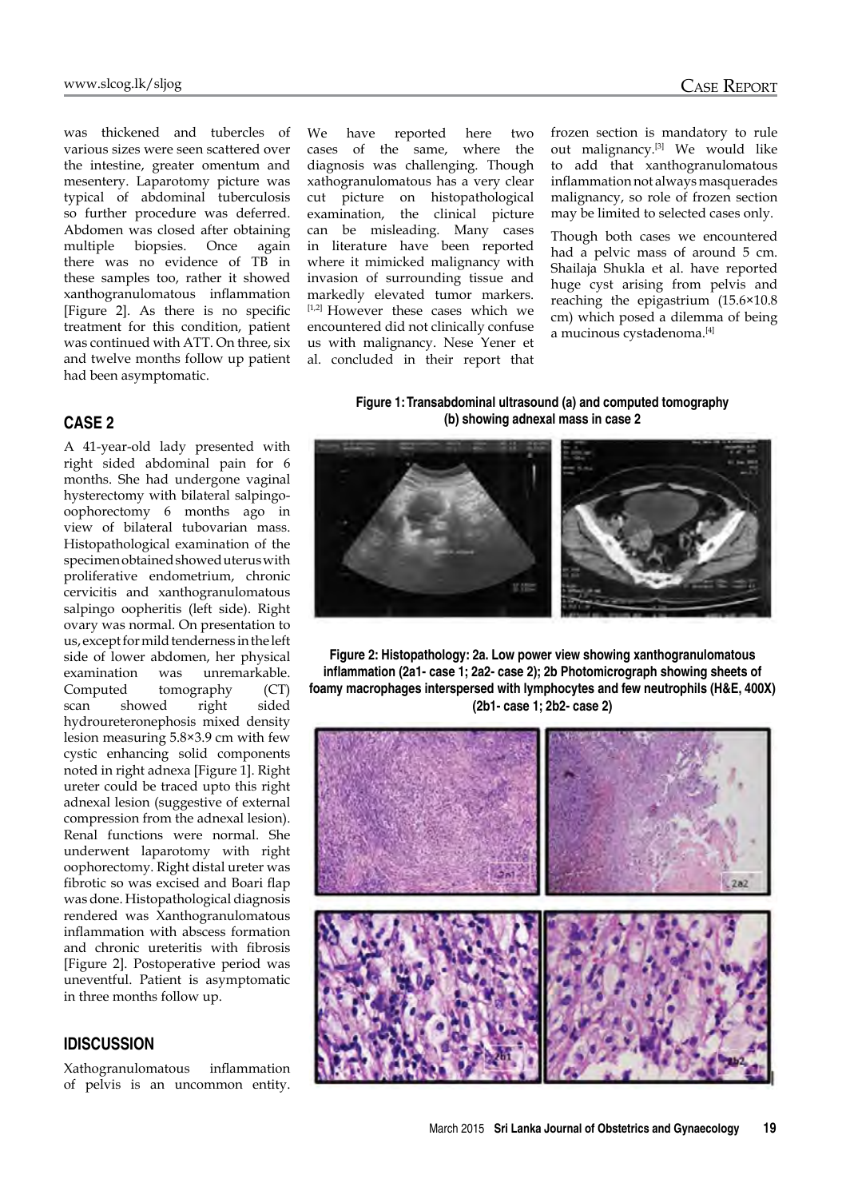was thickened and tubercles of various sizes were seen scattered over the intestine, greater omentum and mesentery. Laparotomy picture was typical of abdominal tuberculosis so further procedure was deferred. Abdomen was closed after obtaining multiple biopsies. Once again there was no evidence of TB in these samples too, rather it showed xanthogranulomatous inflammation [Figure 2]. As there is no specific treatment for this condition, patient was continued with ATT. On three, six and twelve months follow up patient had been asymptomatic.

#### **Case 2**

A 41-year-old lady presented with right sided abdominal pain for 6 months. She had undergone vaginal hysterectomy with bilateral salpingooophorectomy 6 months ago in view of bilateral tubovarian mass. Histopathological examination of the specimen obtained showed uterus with proliferative endometrium, chronic cervicitis and xanthogranulomatous salpingo oopheritis (left side). Right ovary was normal. On presentation to us, except for mild tenderness in the left side of lower abdomen, her physical examination was unremarkable. Computed tomography (CT) scan showed right sided hydroureteronephosis mixed density lesion measuring 5.8×3.9 cm with few cystic enhancing solid components noted in right adnexa [Figure 1]. Right ureter could be traced upto this right adnexal lesion (suggestive of external compression from the adnexal lesion). Renal functions were normal. She underwent laparotomy with right oophorectomy. Right distal ureter was fibrotic so was excised and Boari flap was done. Histopathological diagnosis rendered was Xanthogranulomatous inflammation with abscess formation and chronic ureteritis with fibrosis [Figure 2]. Postoperative period was uneventful. Patient is asymptomatic in three months follow up.

### **IDiscussion**

Xathogranulomatous inflammation of pelvis is an uncommon entity.

We have reported here two cases of the same, where the diagnosis was challenging. Though xathogranulomatous has a very clear cut picture on histopathological examination, the clinical picture can be misleading. Many cases in literature have been reported where it mimicked malignancy with invasion of surrounding tissue and markedly elevated tumor markers. [1,2] However these cases which we encountered did not clinically confuse us with malignancy. Nese Yener et al. concluded in their report that frozen section is mandatory to rule out malignancy.[3] We would like to add that xanthogranulomatous inflammation not always masquerades malignancy, so role of frozen section may be limited to selected cases only.

Though both cases we encountered had a pelvic mass of around 5 cm. Shailaja Shukla et al. have reported huge cyst arising from pelvis and reaching the epigastrium (15.6×10.8 cm) which posed a dilemma of being a mucinous cystadenoma.[4]

#### **Figure 1: Transabdominal ultrasound (a) and computed tomography (b) showing adnexal mass in case 2**



**Figure 2: Histopathology: 2a. Low power view showing xanthogranulomatous inflammation (2a1- case 1; 2a2- case 2); 2b Photomicrograph showing sheets of foamy macrophages interspersed with lymphocytes and few neutrophils (H&E, 400X) (2b1- case 1; 2b2- case 2)**